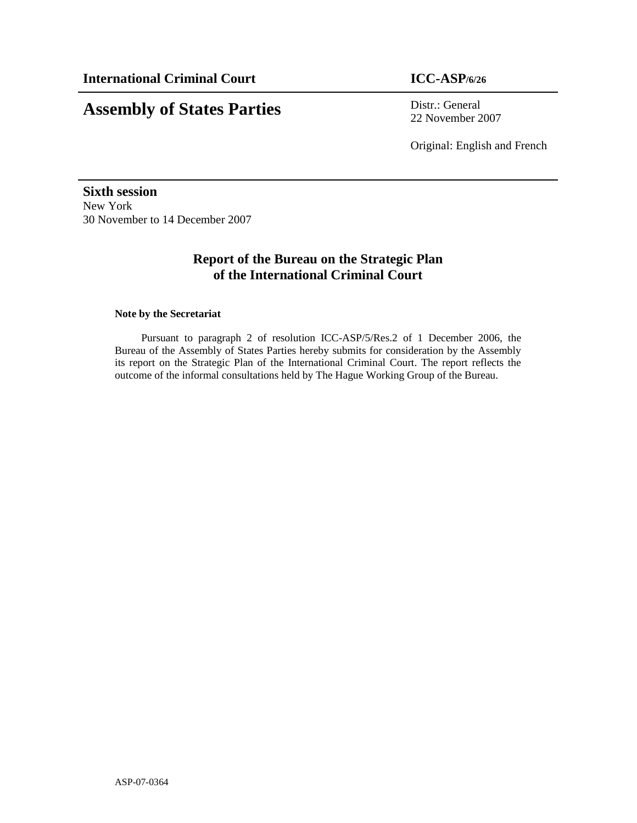# **Assembly of States Parties** Distr.: General

22 November 2007

Original: English and French

**Sixth session**  New York 30 November to 14 December 2007

# **Report of the Bureau on the Strategic Plan of the International Criminal Court**

#### **Note by the Secretariat**

Pursuant to paragraph 2 of resolution ICC-ASP/5/Res.2 of 1 December 2006, the Bureau of the Assembly of States Parties hereby submits for consideration by the Assembly its report on the Strategic Plan of the International Criminal Court. The report reflects the outcome of the informal consultations held by The Hague Working Group of the Bureau.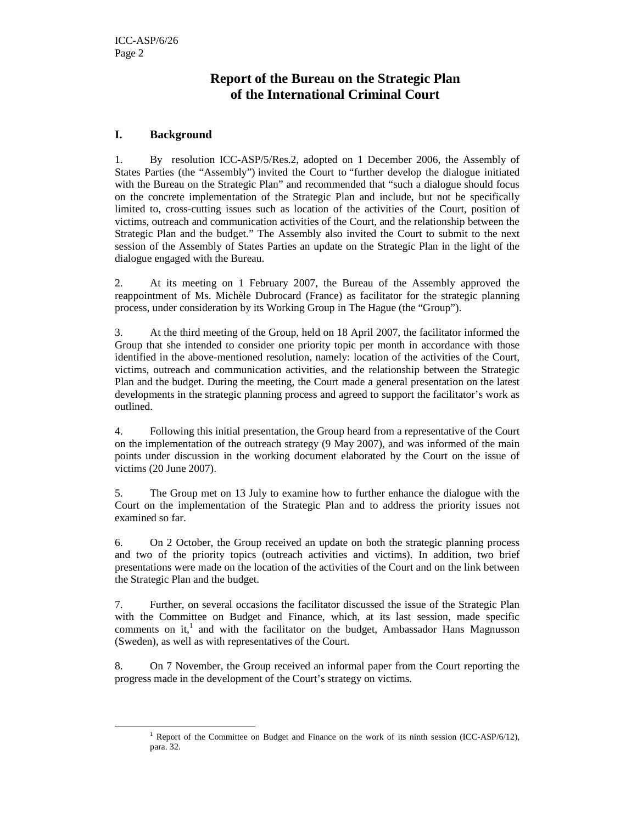## **Report of the Bureau on the Strategic Plan of the International Criminal Court**

#### **I. Background**

 $\overline{a}$ 

1. By resolution ICC-ASP/5/Res.2, adopted on 1 December 2006, the Assembly of States Parties (the "Assembly") invited the Court to "further develop the dialogue initiated with the Bureau on the Strategic Plan" and recommended that "such a dialogue should focus on the concrete implementation of the Strategic Plan and include, but not be specifically limited to, cross-cutting issues such as location of the activities of the Court, position of victims, outreach and communication activities of the Court, and the relationship between the Strategic Plan and the budget." The Assembly also invited the Court to submit to the next session of the Assembly of States Parties an update on the Strategic Plan in the light of the dialogue engaged with the Bureau.

2. At its meeting on 1 February 2007, the Bureau of the Assembly approved the reappointment of Ms. Michèle Dubrocard (France) as facilitator for the strategic planning process, under consideration by its Working Group in The Hague (the "Group").

3. At the third meeting of the Group, held on 18 April 2007, the facilitator informed the Group that she intended to consider one priority topic per month in accordance with those identified in the above-mentioned resolution, namely: location of the activities of the Court, victims, outreach and communication activities, and the relationship between the Strategic Plan and the budget. During the meeting, the Court made a general presentation on the latest developments in the strategic planning process and agreed to support the facilitator's work as outlined.

4. Following this initial presentation, the Group heard from a representative of the Court on the implementation of the outreach strategy (9 May 2007), and was informed of the main points under discussion in the working document elaborated by the Court on the issue of victims (20 June 2007).

5. The Group met on 13 July to examine how to further enhance the dialogue with the Court on the implementation of the Strategic Plan and to address the priority issues not examined so far.

6. On 2 October, the Group received an update on both the strategic planning process and two of the priority topics (outreach activities and victims). In addition, two brief presentations were made on the location of the activities of the Court and on the link between the Strategic Plan and the budget.

7. Further, on several occasions the facilitator discussed the issue of the Strategic Plan with the Committee on Budget and Finance, which, at its last session, made specific comments on it,<sup>1</sup> and with the facilitator on the budget, Ambassador Hans Magnusson (Sweden), as well as with representatives of the Court.

8. On 7 November, the Group received an informal paper from the Court reporting the progress made in the development of the Court's strategy on victims.

<sup>&</sup>lt;sup>1</sup> Report of the Committee on Budget and Finance on the work of its ninth session (ICC-ASP/6/12), para. 32.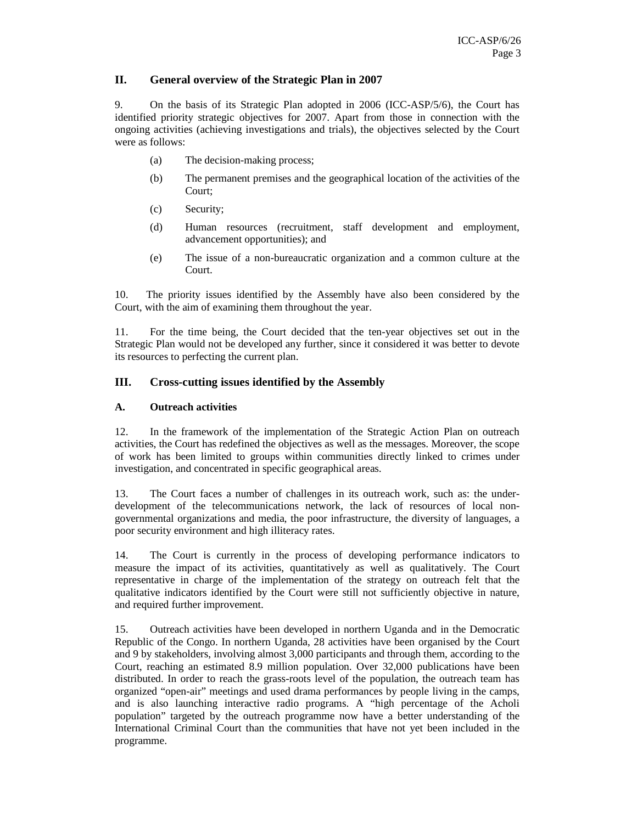#### **II. General overview of the Strategic Plan in 2007**

9. On the basis of its Strategic Plan adopted in 2006 (ICC-ASP/5/6), the Court has identified priority strategic objectives for 2007. Apart from those in connection with the ongoing activities (achieving investigations and trials), the objectives selected by the Court were as follows:

- (a) The decision-making process;
- (b) The permanent premises and the geographical location of the activities of the Court;
- (c) Security;
- (d) Human resources (recruitment, staff development and employment, advancement opportunities); and
- (e) The issue of a non-bureaucratic organization and a common culture at the Court.

10. The priority issues identified by the Assembly have also been considered by the Court, with the aim of examining them throughout the year.

11. For the time being, the Court decided that the ten-year objectives set out in the Strategic Plan would not be developed any further, since it considered it was better to devote its resources to perfecting the current plan.

#### **III. Cross-cutting issues identified by the Assembly**

#### **A. Outreach activities**

12. In the framework of the implementation of the Strategic Action Plan on outreach activities, the Court has redefined the objectives as well as the messages. Moreover, the scope of work has been limited to groups within communities directly linked to crimes under investigation, and concentrated in specific geographical areas.

13. The Court faces a number of challenges in its outreach work, such as: the underdevelopment of the telecommunications network, the lack of resources of local nongovernmental organizations and media, the poor infrastructure, the diversity of languages, a poor security environment and high illiteracy rates.

14. The Court is currently in the process of developing performance indicators to measure the impact of its activities, quantitatively as well as qualitatively. The Court representative in charge of the implementation of the strategy on outreach felt that the qualitative indicators identified by the Court were still not sufficiently objective in nature, and required further improvement.

15. Outreach activities have been developed in northern Uganda and in the Democratic Republic of the Congo. In northern Uganda, 28 activities have been organised by the Court and 9 by stakeholders, involving almost 3,000 participants and through them, according to the Court, reaching an estimated 8.9 million population. Over 32,000 publications have been distributed. In order to reach the grass-roots level of the population, the outreach team has organized "open-air" meetings and used drama performances by people living in the camps, and is also launching interactive radio programs. A "high percentage of the Acholi population" targeted by the outreach programme now have a better understanding of the International Criminal Court than the communities that have not yet been included in the programme.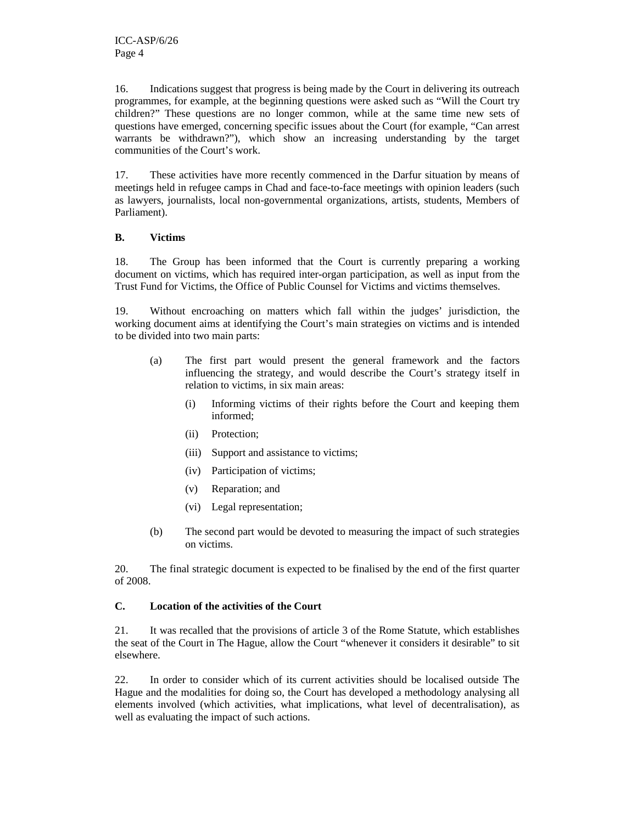16. Indications suggest that progress is being made by the Court in delivering its outreach programmes, for example, at the beginning questions were asked such as "Will the Court try children?" These questions are no longer common, while at the same time new sets of questions have emerged, concerning specific issues about the Court (for example, "Can arrest warrants be withdrawn?"), which show an increasing understanding by the target communities of the Court's work.

17. These activities have more recently commenced in the Darfur situation by means of meetings held in refugee camps in Chad and face-to-face meetings with opinion leaders (such as lawyers, journalists, local non-governmental organizations, artists, students, Members of Parliament).

#### **B. Victims**

18. The Group has been informed that the Court is currently preparing a working document on victims, which has required inter-organ participation, as well as input from the Trust Fund for Victims, the Office of Public Counsel for Victims and victims themselves.

19. Without encroaching on matters which fall within the judges' jurisdiction, the working document aims at identifying the Court's main strategies on victims and is intended to be divided into two main parts:

- (a) The first part would present the general framework and the factors influencing the strategy, and would describe the Court's strategy itself in relation to victims, in six main areas:
	- (i) Informing victims of their rights before the Court and keeping them informed;
	- (ii) Protection;
	- (iii) Support and assistance to victims;
	- (iv) Participation of victims;
	- (v) Reparation; and
	- (vi) Legal representation;
- (b) The second part would be devoted to measuring the impact of such strategies on victims.

20. The final strategic document is expected to be finalised by the end of the first quarter of 2008.

#### **C. Location of the activities of the Court**

21. It was recalled that the provisions of article 3 of the Rome Statute, which establishes the seat of the Court in The Hague, allow the Court "whenever it considers it desirable" to sit elsewhere.

22. In order to consider which of its current activities should be localised outside The Hague and the modalities for doing so, the Court has developed a methodology analysing all elements involved (which activities, what implications, what level of decentralisation), as well as evaluating the impact of such actions.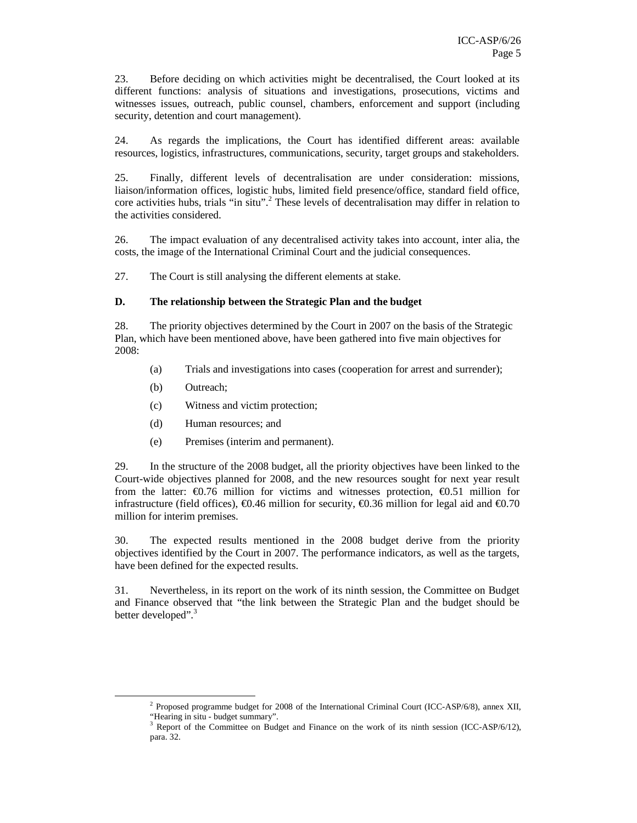23. Before deciding on which activities might be decentralised, the Court looked at its different functions: analysis of situations and investigations, prosecutions, victims and witnesses issues, outreach, public counsel, chambers, enforcement and support (including security, detention and court management).

24. As regards the implications, the Court has identified different areas: available resources, logistics, infrastructures, communications, security, target groups and stakeholders.

25. Finally, different levels of decentralisation are under consideration: missions, liaison/information offices, logistic hubs, limited field presence/office, standard field office, core activities hubs, trials "in situ".<sup>2</sup> These levels of decentralisation may differ in relation to the activities considered.

26. The impact evaluation of any decentralised activity takes into account, inter alia, the costs, the image of the International Criminal Court and the judicial consequences.

27. The Court is still analysing the different elements at stake.

#### **D. The relationship between the Strategic Plan and the budget**

28. The priority objectives determined by the Court in 2007 on the basis of the Strategic Plan, which have been mentioned above, have been gathered into five main objectives for 2008:

- (a) Trials and investigations into cases (cooperation for arrest and surrender);
- (b) Outreach;
- (c) Witness and victim protection;
- (d) Human resources; and
- (e) Premises (interim and permanent).

29. In the structure of the 2008 budget, all the priority objectives have been linked to the Court-wide objectives planned for 2008, and the new resources sought for next year result from the latter:  $\epsilon$ 0.76 million for victims and witnesses protection,  $\epsilon$ 0.51 million for infrastructure (field offices),  $\epsilon$ 0.46 million for security,  $\epsilon$ 0.36 million for legal aid and  $\epsilon$ 0.70 million for interim premises.

30. The expected results mentioned in the 2008 budget derive from the priority objectives identified by the Court in 2007. The performance indicators, as well as the targets, have been defined for the expected results.

31. Nevertheless, in its report on the work of its ninth session, the Committee on Budget and Finance observed that "the link between the Strategic Plan and the budget should be better developed".<sup>3</sup>

 $\overline{a}$ 

<sup>&</sup>lt;sup>2</sup> Proposed programme budget for 2008 of the International Criminal Court (ICC-ASP/6/8), annex XII,

<sup>&</sup>quot;Hearing in situ - budget summary".

<sup>&</sup>lt;sup>3</sup> Report of the Committee on Budget and Finance on the work of its ninth session (ICC-ASP/6/12), para. 32.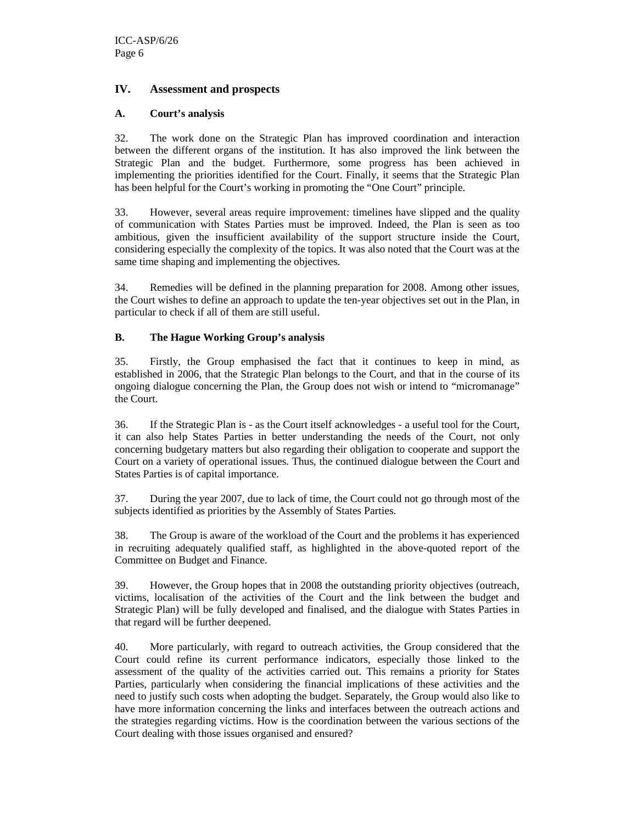#### **IV. Assessment and prospects**

#### **A. Court's analysis**

32. The work done on the Strategic Plan has improved coordination and interaction between the different organs of the institution. It has also improved the link between the Strategic Plan and the budget. Furthermore, some progress has been achieved in implementing the priorities identified for the Court. Finally, it seems that the Strategic Plan has been helpful for the Court's working in promoting the "One Court" principle.

33. However, several areas require improvement: timelines have slipped and the quality of communication with States Parties must be improved. Indeed, the Plan is seen as too ambitious, given the insufficient availability of the support structure inside the Court, considering especially the complexity of the topics. It was also noted that the Court was at the same time shaping and implementing the objectives.

34. Remedies will be defined in the planning preparation for 2008. Among other issues, the Court wishes to define an approach to update the ten-year objectives set out in the Plan, in particular to check if all of them are still useful.

#### **B. The Hague Working Group's analysis**

35. Firstly, the Group emphasised the fact that it continues to keep in mind, as established in 2006, that the Strategic Plan belongs to the Court, and that in the course of its ongoing dialogue concerning the Plan, the Group does not wish or intend to "micromanage" the Court.

36. If the Strategic Plan is - as the Court itself acknowledges - a useful tool for the Court, it can also help States Parties in better understanding the needs of the Court, not only concerning budgetary matters but also regarding their obligation to cooperate and support the Court on a variety of operational issues. Thus, the continued dialogue between the Court and States Parties is of capital importance.

37. During the year 2007, due to lack of time, the Court could not go through most of the subjects identified as priorities by the Assembly of States Parties.

38. The Group is aware of the workload of the Court and the problems it has experienced in recruiting adequately qualified staff, as highlighted in the above-quoted report of the Committee on Budget and Finance.

39. However, the Group hopes that in 2008 the outstanding priority objectives (outreach, victims, localisation of the activities of the Court and the link between the budget and Strategic Plan) will be fully developed and finalised, and the dialogue with States Parties in that regard will be further deepened.

40. More particularly, with regard to outreach activities, the Group considered that the Court could refine its current performance indicators, especially those linked to the assessment of the quality of the activities carried out. This remains a priority for States Parties, particularly when considering the financial implications of these activities and the need to justify such costs when adopting the budget. Separately, the Group would also like to have more information concerning the links and interfaces between the outreach actions and the strategies regarding victims. How is the coordination between the various sections of the Court dealing with those issues organised and ensured?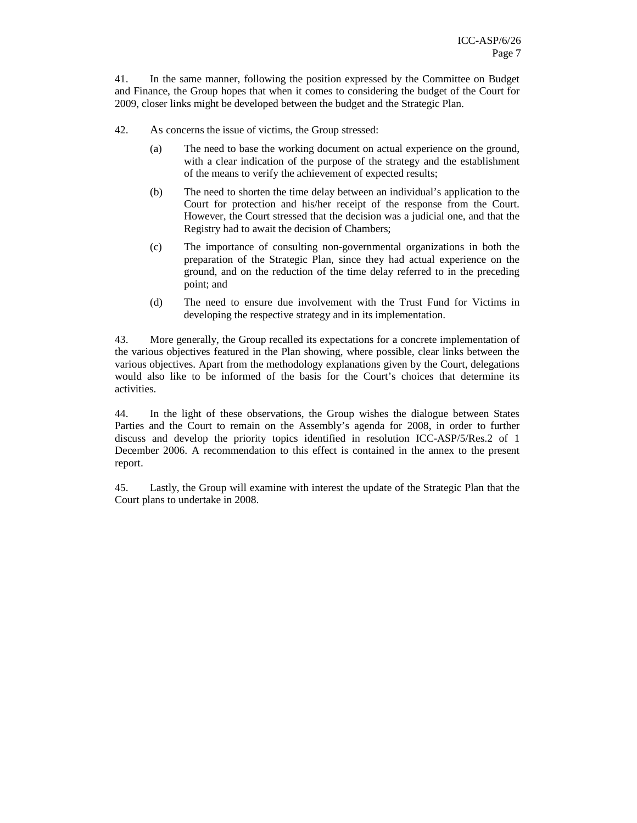41. In the same manner, following the position expressed by the Committee on Budget and Finance, the Group hopes that when it comes to considering the budget of the Court for 2009, closer links might be developed between the budget and the Strategic Plan.

- 42. As concerns the issue of victims, the Group stressed:
	- (a) The need to base the working document on actual experience on the ground, with a clear indication of the purpose of the strategy and the establishment of the means to verify the achievement of expected results;
	- (b) The need to shorten the time delay between an individual's application to the Court for protection and his/her receipt of the response from the Court. However, the Court stressed that the decision was a judicial one, and that the Registry had to await the decision of Chambers;
	- (c) The importance of consulting non-governmental organizations in both the preparation of the Strategic Plan, since they had actual experience on the ground, and on the reduction of the time delay referred to in the preceding point; and
	- (d) The need to ensure due involvement with the Trust Fund for Victims in developing the respective strategy and in its implementation.

43. More generally, the Group recalled its expectations for a concrete implementation of the various objectives featured in the Plan showing, where possible, clear links between the various objectives. Apart from the methodology explanations given by the Court, delegations would also like to be informed of the basis for the Court's choices that determine its activities.

44. In the light of these observations, the Group wishes the dialogue between States Parties and the Court to remain on the Assembly's agenda for 2008, in order to further discuss and develop the priority topics identified in resolution ICC-ASP/5/Res.2 of 1 December 2006. A recommendation to this effect is contained in the annex to the present report.

45. Lastly, the Group will examine with interest the update of the Strategic Plan that the Court plans to undertake in 2008.